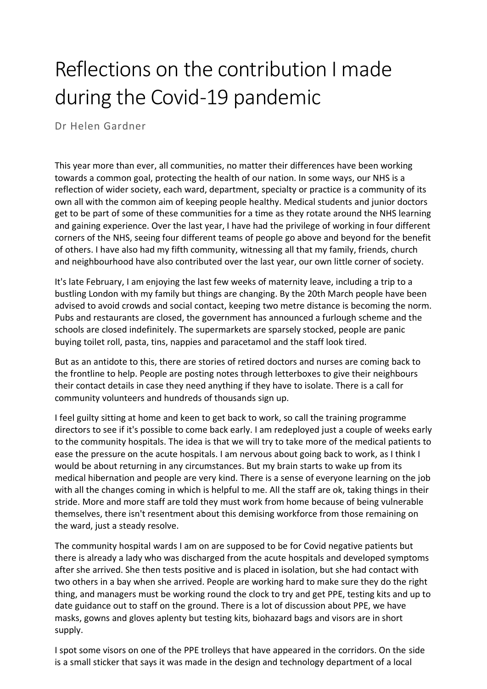## Reflections on the contribution I made during the Covid-19 pandemic

Dr Helen Gardner

This year more than ever, all communities, no matter their differences have been working towards a common goal, protecting the health of our nation. In some ways, our NHS is a reflection of wider society, each ward, department, specialty or practice is a community of its own all with the common aim of keeping people healthy. Medical students and junior doctors get to be part of some of these communities for a time as they rotate around the NHS learning and gaining experience. Over the last year, I have had the privilege of working in four different corners of the NHS, seeing four different teams of people go above and beyond for the benefit of others. I have also had my fifth community, witnessing all that my family, friends, church and neighbourhood have also contributed over the last year, our own little corner of society.

It's late February, I am enjoying the last few weeks of maternity leave, including a trip to a bustling London with my family but things are changing. By the 20th March people have been advised to avoid crowds and social contact, keeping two metre distance is becoming the norm. Pubs and restaurants are closed, the government has announced a furlough scheme and the schools are closed indefinitely. The supermarkets are sparsely stocked, people are panic buying toilet roll, pasta, tins, nappies and paracetamol and the staff look tired.

But as an antidote to this, there are stories of retired doctors and nurses are coming back to the frontline to help. People are posting notes through letterboxes to give their neighbours their contact details in case they need anything if they have to isolate. There is a call for community volunteers and hundreds of thousands sign up.

I feel guilty sitting at home and keen to get back to work, so call the training programme directors to see if it's possible to come back early. I am redeployed just a couple of weeks early to the community hospitals. The idea is that we will try to take more of the medical patients to ease the pressure on the acute hospitals. I am nervous about going back to work, as I think I would be about returning in any circumstances. But my brain starts to wake up from its medical hibernation and people are very kind. There is a sense of everyone learning on the job with all the changes coming in which is helpful to me. All the staff are ok, taking things in their stride. More and more staff are told they must work from home because of being vulnerable themselves, there isn't resentment about this demising workforce from those remaining on the ward, just a steady resolve.

The community hospital wards I am on are supposed to be for Covid negative patients but there is already a lady who was discharged from the acute hospitals and developed symptoms after she arrived. She then tests positive and is placed in isolation, but she had contact with two others in a bay when she arrived. People are working hard to make sure they do the right thing, and managers must be working round the clock to try and get PPE, testing kits and up to date guidance out to staff on the ground. There is a lot of discussion about PPE, we have masks, gowns and gloves aplenty but testing kits, biohazard bags and visors are in short supply.

I spot some visors on one of the PPE trolleys that have appeared in the corridors. On the side is a small sticker that says it was made in the design and technology department of a local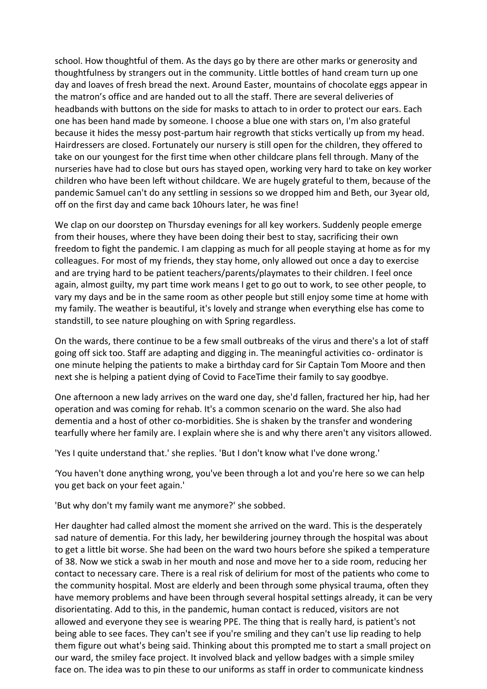school. How thoughtful of them. As the days go by there are other marks or generosity and thoughtfulness by strangers out in the community. Little bottles of hand cream turn up one day and loaves of fresh bread the next. Around Easter, mountains of chocolate eggs appear in the matron's office and are handed out to all the staff. There are several deliveries of headbands with buttons on the side for masks to attach to in order to protect our ears. Each one has been hand made by someone. I choose a blue one with stars on, I'm also grateful because it hides the messy post-partum hair regrowth that sticks vertically up from my head. Hairdressers are closed. Fortunately our nursery is still open for the children, they offered to take on our youngest for the first time when other childcare plans fell through. Many of the nurseries have had to close but ours has stayed open, working very hard to take on key worker children who have been left without childcare. We are hugely grateful to them, because of the pandemic Samuel can't do any settling in sessions so we dropped him and Beth, our 3year old, off on the first day and came back 10hours later, he was fine!

We clap on our doorstep on Thursday evenings for all key workers. Suddenly people emerge from their houses, where they have been doing their best to stay, sacrificing their own freedom to fight the pandemic. I am clapping as much for all people staying at home as for my colleagues. For most of my friends, they stay home, only allowed out once a day to exercise and are trying hard to be patient teachers/parents/playmates to their children. I feel once again, almost guilty, my part time work means I get to go out to work, to see other people, to vary my days and be in the same room as other people but still enjoy some time at home with my family. The weather is beautiful, it's lovely and strange when everything else has come to standstill, to see nature ploughing on with Spring regardless.

On the wards, there continue to be a few small outbreaks of the virus and there's a lot of staff going off sick too. Staff are adapting and digging in. The meaningful activities co- ordinator is one minute helping the patients to make a birthday card for Sir Captain Tom Moore and then next she is helping a patient dying of Covid to FaceTime their family to say goodbye.

One afternoon a new lady arrives on the ward one day, she'd fallen, fractured her hip, had her operation and was coming for rehab. It's a common scenario on the ward. She also had dementia and a host of other co-morbidities. She is shaken by the transfer and wondering tearfully where her family are. I explain where she is and why there aren't any visitors allowed.

'Yes I quite understand that.' she replies. 'But I don't know what I've done wrong.'

'You haven't done anything wrong, you've been through a lot and you're here so we can help you get back on your feet again.'

'But why don't my family want me anymore?' she sobbed.

Her daughter had called almost the moment she arrived on the ward. This is the desperately sad nature of dementia. For this lady, her bewildering journey through the hospital was about to get a little bit worse. She had been on the ward two hours before she spiked a temperature of 38. Now we stick a swab in her mouth and nose and move her to a side room, reducing her contact to necessary care. There is a real risk of delirium for most of the patients who come to the community hospital. Most are elderly and been through some physical trauma, often they have memory problems and have been through several hospital settings already, it can be very disorientating. Add to this, in the pandemic, human contact is reduced, visitors are not allowed and everyone they see is wearing PPE. The thing that is really hard, is patient's not being able to see faces. They can't see if you're smiling and they can't use lip reading to help them figure out what's being said. Thinking about this prompted me to start a small project on our ward, the smiley face project. It involved black and yellow badges with a simple smiley face on. The idea was to pin these to our uniforms as staff in order to communicate kindness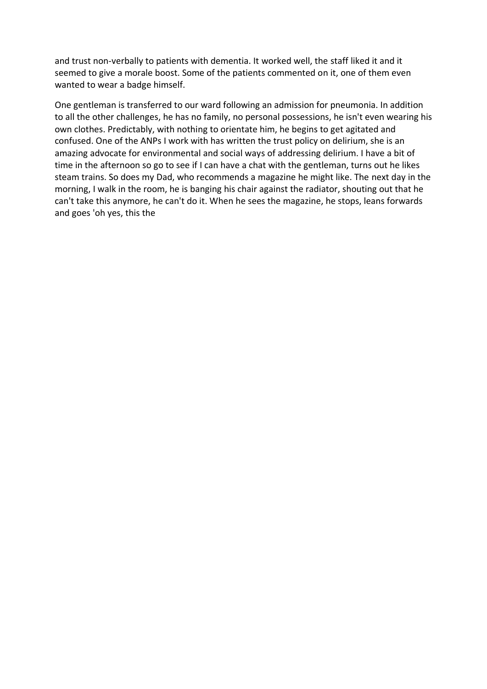and trust non-verbally to patients with dementia. It worked well, the staff liked it and it seemed to give a morale boost. Some of the patients commented on it, one of them even wanted to wear a badge himself.

One gentleman is transferred to our ward following an admission for pneumonia. In addition to all the other challenges, he has no family, no personal possessions, he isn't even wearing his own clothes. Predictably, with nothing to orientate him, he begins to get agitated and confused. One of the ANPs I work with has written the trust policy on delirium, she is an amazing advocate for environmental and social ways of addressing delirium. I have a bit of time in the afternoon so go to see if I can have a chat with the gentleman, turns out he likes steam trains. So does my Dad, who recommends a magazine he might like. The next day in the morning, I walk in the room, he is banging his chair against the radiator, shouting out that he can't take this anymore, he can't do it. When he sees the magazine, he stops, leans forwards and goes 'oh yes, this the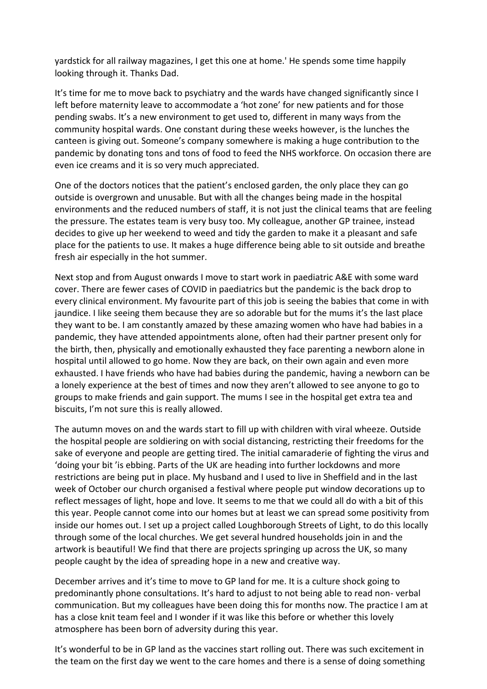yardstick for all railway magazines, I get this one at home.' He spends some time happily looking through it. Thanks Dad.

It's time for me to move back to psychiatry and the wards have changed significantly since I left before maternity leave to accommodate a 'hot zone' for new patients and for those pending swabs. It's a new environment to get used to, different in many ways from the community hospital wards. One constant during these weeks however, is the lunches the canteen is giving out. Someone's company somewhere is making a huge contribution to the pandemic by donating tons and tons of food to feed the NHS workforce. On occasion there are even ice creams and it is so very much appreciated.

One of the doctors notices that the patient's enclosed garden, the only place they can go outside is overgrown and unusable. But with all the changes being made in the hospital environments and the reduced numbers of staff, it is not just the clinical teams that are feeling the pressure. The estates team is very busy too. My colleague, another GP trainee, instead decides to give up her weekend to weed and tidy the garden to make it a pleasant and safe place for the patients to use. It makes a huge difference being able to sit outside and breathe fresh air especially in the hot summer.

Next stop and from August onwards I move to start work in paediatric A&E with some ward cover. There are fewer cases of COVID in paediatrics but the pandemic is the back drop to every clinical environment. My favourite part of this job is seeing the babies that come in with jaundice. I like seeing them because they are so adorable but for the mums it's the last place they want to be. I am constantly amazed by these amazing women who have had babies in a pandemic, they have attended appointments alone, often had their partner present only for the birth, then, physically and emotionally exhausted they face parenting a newborn alone in hospital until allowed to go home. Now they are back, on their own again and even more exhausted. I have friends who have had babies during the pandemic, having a newborn can be a lonely experience at the best of times and now they aren't allowed to see anyone to go to groups to make friends and gain support. The mums I see in the hospital get extra tea and biscuits, I'm not sure this is really allowed.

The autumn moves on and the wards start to fill up with children with viral wheeze. Outside the hospital people are soldiering on with social distancing, restricting their freedoms for the sake of everyone and people are getting tired. The initial camaraderie of fighting the virus and 'doing your bit 'is ebbing. Parts of the UK are heading into further lockdowns and more restrictions are being put in place. My husband and I used to live in Sheffield and in the last week of October our church organised a festival where people put window decorations up to reflect messages of light, hope and love. It seems to me that we could all do with a bit of this this year. People cannot come into our homes but at least we can spread some positivity from inside our homes out. I set up a project called Loughborough Streets of Light, to do this locally through some of the local churches. We get several hundred households join in and the artwork is beautiful! We find that there are projects springing up across the UK, so many people caught by the idea of spreading hope in a new and creative way.

December arrives and it's time to move to GP land for me. It is a culture shock going to predominantly phone consultations. It's hard to adjust to not being able to read non- verbal communication. But my colleagues have been doing this for months now. The practice I am at has a close knit team feel and I wonder if it was like this before or whether this lovely atmosphere has been born of adversity during this year.

It's wonderful to be in GP land as the vaccines start rolling out. There was such excitement in the team on the first day we went to the care homes and there is a sense of doing something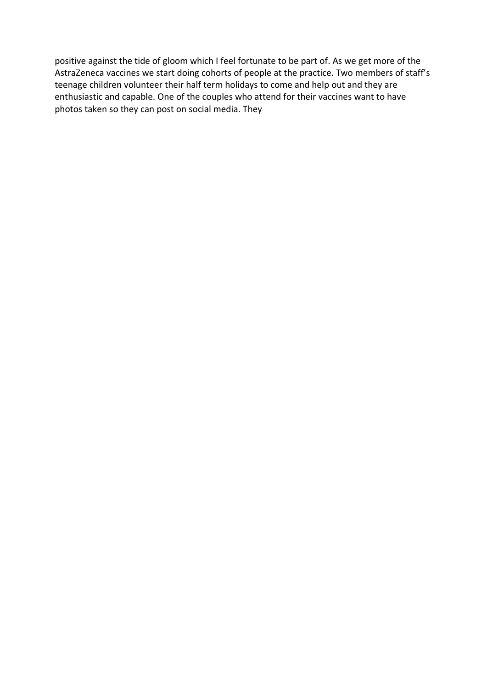positive against the tide of gloom which I feel fortunate to be part of. As we get more of the AstraZeneca vaccines we start doing cohorts of people at the practice. Two members of staff's teenage children volunteer their half term holidays to come and help out and they are enthusiastic and capable. One of the couples who attend for their vaccines want to have photos taken so they can post on social media. They